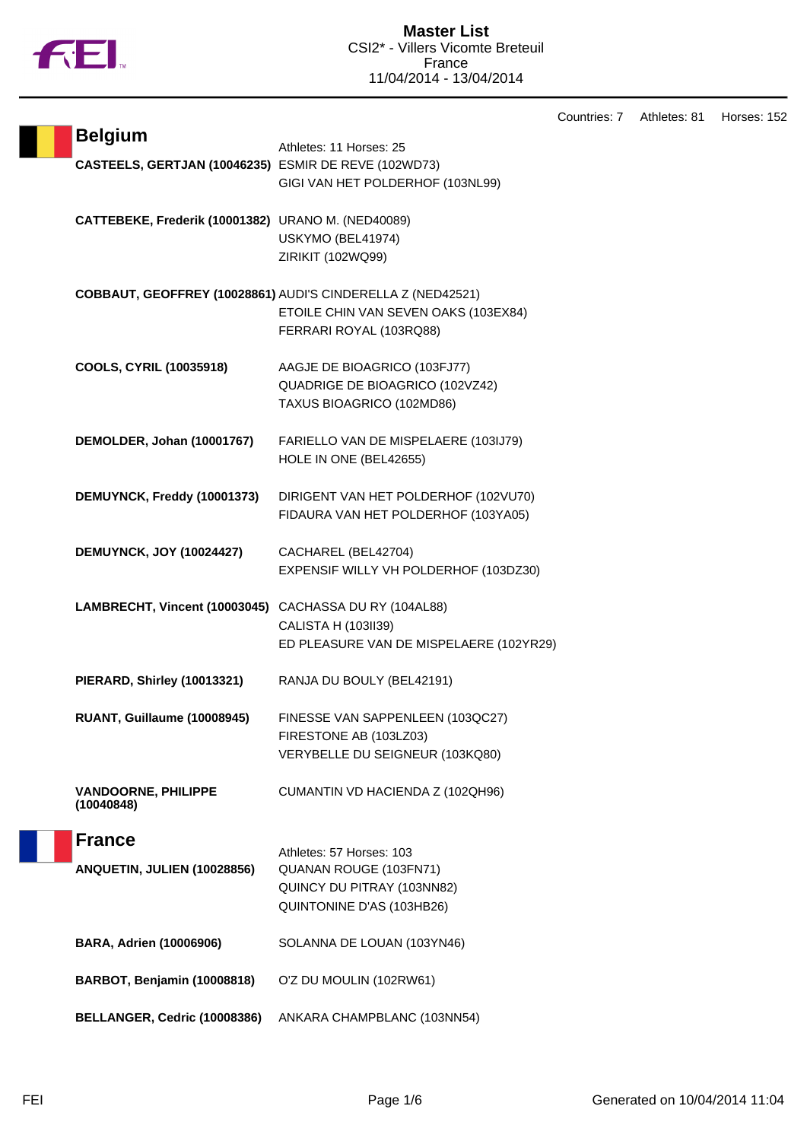

Countries: 7 Athletes: 81 Horses: 152

| <b>Belgium</b>                                         | Athletes: 11 Horses: 25                                     |
|--------------------------------------------------------|-------------------------------------------------------------|
| CASTEELS, GERTJAN (10046235) ESMIR DE REVE (102WD73)   |                                                             |
|                                                        | GIGI VAN HET POLDERHOF (103NL99)                            |
|                                                        |                                                             |
| CATTEBEKE, Frederik (10001382) URANO M. (NED40089)     |                                                             |
|                                                        | USKYMO (BEL41974)                                           |
|                                                        | ZIRIKIT (102WQ99)                                           |
|                                                        |                                                             |
|                                                        | COBBAUT, GEOFFREY (10028861) AUDI'S CINDERELLA Z (NED42521) |
|                                                        | ETOILE CHIN VAN SEVEN OAKS (103EX84)                        |
|                                                        | FERRARI ROYAL (103RQ88)                                     |
|                                                        |                                                             |
| COOLS, CYRIL (10035918)                                | AAGJE DE BIOAGRICO (103FJ77)                                |
|                                                        | QUADRIGE DE BIOAGRICO (102VZ42)                             |
|                                                        | TAXUS BIOAGRICO (102MD86)                                   |
|                                                        |                                                             |
| DEMOLDER, Johan (10001767)                             | FARIELLO VAN DE MISPELAERE (103IJ79)                        |
|                                                        | HOLE IN ONE (BEL42655)                                      |
| DEMUYNCK, Freddy (10001373)                            | DIRIGENT VAN HET POLDERHOF (102VU70)                        |
|                                                        | FIDAURA VAN HET POLDERHOF (103YA05)                         |
|                                                        |                                                             |
| <b>DEMUYNCK, JOY (10024427)</b>                        | CACHAREL (BEL42704)                                         |
|                                                        | EXPENSIF WILLY VH POLDERHOF (103DZ30)                       |
|                                                        |                                                             |
| LAMBRECHT, Vincent (10003045) CACHASSA DU RY (104AL88) |                                                             |
|                                                        | CALISTA H (103II39)                                         |
|                                                        | ED PLEASURE VAN DE MISPELAERE (102YR29)                     |
|                                                        |                                                             |
| PIERARD, Shirley (10013321)                            | RANJA DU BOULY (BEL42191)                                   |
|                                                        |                                                             |
| RUANT, Guillaume (10008945)                            | FINESSE VAN SAPPENLEEN (103QC27)                            |
|                                                        | FIRESTONE AB (103LZ03)                                      |
|                                                        | VERYBELLE DU SEIGNEUR (103KQ80)                             |
|                                                        |                                                             |
| <b>VANDOORNE, PHILIPPE</b><br>(10040848)               | CUMANTIN VD HACIENDA Z (102QH96)                            |
|                                                        |                                                             |
| <b>France</b>                                          |                                                             |
|                                                        | Athletes: 57 Horses: 103                                    |
| ANQUETIN, JULIEN (10028856)                            | QUANAN ROUGE (103FN71)                                      |
|                                                        | QUINCY DU PITRAY (103NN82)                                  |
|                                                        | QUINTONINE D'AS (103HB26)                                   |
|                                                        |                                                             |
| <b>BARA, Adrien (10006906)</b>                         | SOLANNA DE LOUAN (103YN46)                                  |
| BARBOT, Benjamin (10008818)                            | O'Z DU MOULIN (102RW61)                                     |
|                                                        |                                                             |
| BELLANGER, Cedric (10008386)                           | ANKARA CHAMPBLANC (103NN54)                                 |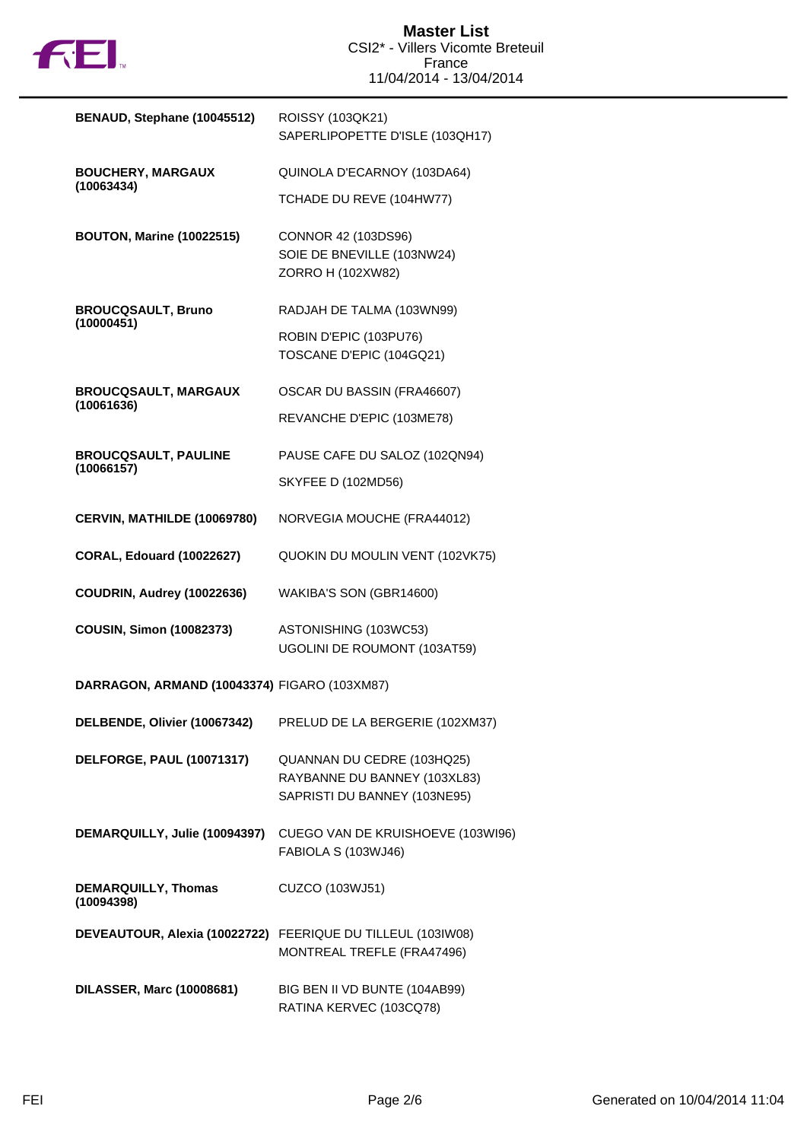

| BENAUD, Stephane (10045512)                  | ROISSY (103QK21)<br>SAPERLIPOPETTE D'ISLE (103QH17)                                        |  |  |
|----------------------------------------------|--------------------------------------------------------------------------------------------|--|--|
| <b>BOUCHERY, MARGAUX</b>                     | QUINOLA D'ECARNOY (103DA64)                                                                |  |  |
| (10063434)                                   | TCHADE DU REVE (104HW77)                                                                   |  |  |
| <b>BOUTON, Marine (10022515)</b>             | CONNOR 42 (103DS96)<br>SOIE DE BNEVILLE (103NW24)<br>ZORRO H (102XW82)                     |  |  |
| <b>BROUCQSAULT, Bruno</b>                    | RADJAH DE TALMA (103WN99)                                                                  |  |  |
| (10000451)                                   | ROBIN D'EPIC (103PU76)<br>TOSCANE D'EPIC (104GQ21)                                         |  |  |
| <b>BROUCQSAULT, MARGAUX</b><br>(10061636)    | OSCAR DU BASSIN (FRA46607)                                                                 |  |  |
|                                              | REVANCHE D'EPIC (103ME78)                                                                  |  |  |
| <b>BROUCQSAULT, PAULINE</b>                  | PAUSE CAFE DU SALOZ (102QN94)                                                              |  |  |
| (10066157)                                   | <b>SKYFEE D (102MD56)</b>                                                                  |  |  |
| CERVIN, MATHILDE (10069780)                  | NORVEGIA MOUCHE (FRA44012)                                                                 |  |  |
| <b>CORAL, Edouard (10022627)</b>             | QUOKIN DU MOULIN VENT (102VK75)                                                            |  |  |
| COUDRIN, Audrey (10022636)                   | WAKIBA'S SON (GBR14600)                                                                    |  |  |
| <b>COUSIN, Simon (10082373)</b>              | ASTONISHING (103WC53)<br>UGOLINI DE ROUMONT (103AT59)                                      |  |  |
| DARRAGON, ARMAND (10043374) FIGARO (103XM87) |                                                                                            |  |  |
| DELBENDE, Olivier (10067342)                 | PRELUD DE LA BERGERIE (102XM37)                                                            |  |  |
| DELFORGE, PAUL (10071317)                    | QUANNAN DU CEDRE (103HQ25)<br>RAYBANNE DU BANNEY (103XL83)<br>SAPRISTI DU BANNEY (103NE95) |  |  |
| DEMARQUILLY, Julie (10094397)                | CUEGO VAN DE KRUISHOEVE (103WI96)<br>FABIOLA S (103WJ46)                                   |  |  |
| <b>DEMARQUILLY, Thomas</b><br>(10094398)     | CUZCO (103WJ51)                                                                            |  |  |
|                                              | DEVEAUTOUR, Alexia (10022722) FEERIQUE DU TILLEUL (103IW08)<br>MONTREAL TREFLE (FRA47496)  |  |  |
| <b>DILASSER, Marc (10008681)</b>             | BIG BEN II VD BUNTE (104AB99)<br>RATINA KERVEC (103CQ78)                                   |  |  |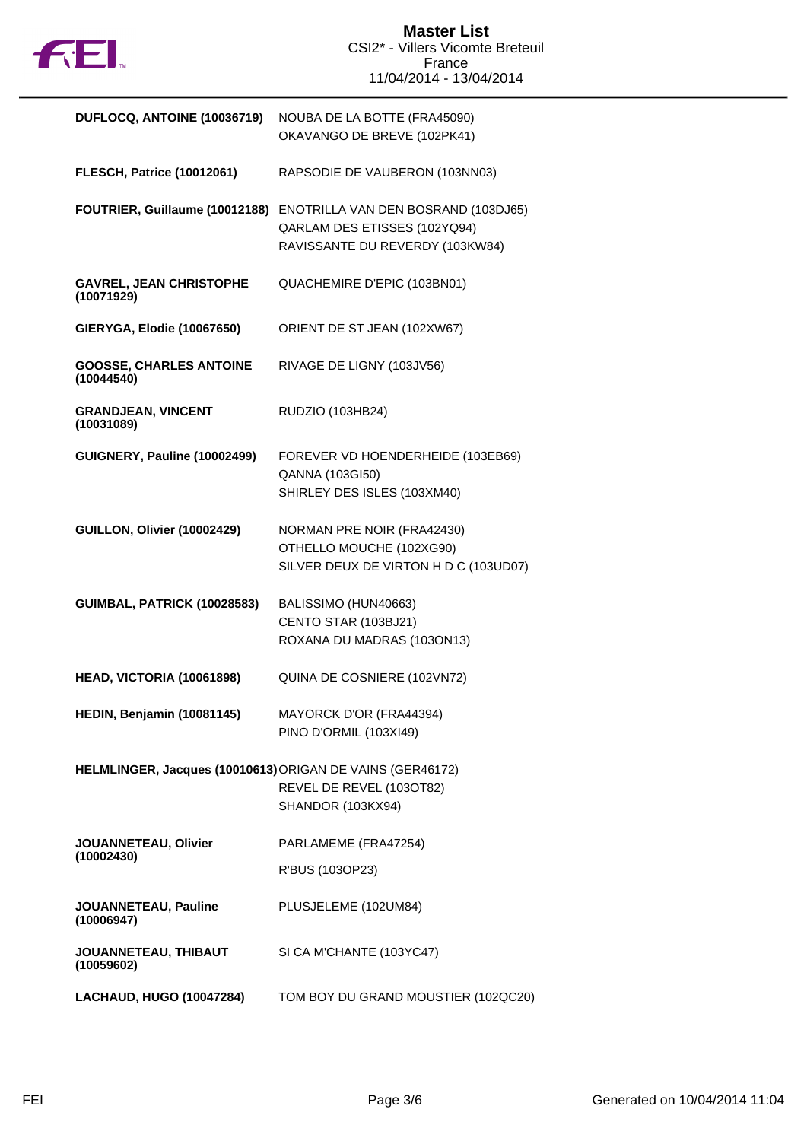

| DUFLOCQ, ANTOINE (10036719)                               | NOUBA DE LA BOTTE (FRA45090)<br>OKAVANGO DE BREVE (102PK41)                                            |  |
|-----------------------------------------------------------|--------------------------------------------------------------------------------------------------------|--|
| <b>FLESCH, Patrice (10012061)</b>                         | RAPSODIE DE VAUBERON (103NN03)                                                                         |  |
| FOUTRIER, Guillaume (10012188)                            | ENOTRILLA VAN DEN BOSRAND (103DJ65)<br>QARLAM DES ETISSES (102YQ94)<br>RAVISSANTE DU REVERDY (103KW84) |  |
| <b>GAVREL, JEAN CHRISTOPHE</b><br>(10071929)              | QUACHEMIRE D'EPIC (103BN01)                                                                            |  |
| <b>GIERYGA, Elodie (10067650)</b>                         | ORIENT DE ST JEAN (102XW67)                                                                            |  |
| <b>GOOSSE, CHARLES ANTOINE</b><br>(10044540)              | RIVAGE DE LIGNY (103JV56)                                                                              |  |
| <b>GRANDJEAN, VINCENT</b><br>(10031089)                   | RUDZIO (103HB24)                                                                                       |  |
| GUIGNERY, Pauline (10002499)                              | FOREVER VD HOENDERHEIDE (103EB69)<br>QANNA (103GI50)<br>SHIRLEY DES ISLES (103XM40)                    |  |
| GUILLON, Olivier (10002429)                               | NORMAN PRE NOIR (FRA42430)<br>OTHELLO MOUCHE (102XG90)<br>SILVER DEUX DE VIRTON H D C (103UD07)        |  |
| <b>GUIMBAL, PATRICK (10028583)</b>                        | BALISSIMO (HUN40663)<br>CENTO STAR (103BJ21)<br>ROXANA DU MADRAS (103ON13)                             |  |
| HEAD, VICTORIA (10061898)                                 | QUINA DE COSNIERE (102VN72)                                                                            |  |
| HEDIN, Benjamin (10081145)                                | MAYORCK D'OR (FRA44394)<br>PINO D'ORMIL (103XI49)                                                      |  |
| HELMLINGER, Jacques (10010613) ORIGAN DE VAINS (GER46172) | REVEL DE REVEL (103OT82)<br>SHANDOR (103KX94)                                                          |  |
| JOUANNETEAU, Olivier<br>(10002430)                        | PARLAMEME (FRA47254)                                                                                   |  |
|                                                           | R'BUS (103OP23)                                                                                        |  |
| JOUANNETEAU, Pauline<br>(10006947)                        | PLUSJELEME (102UM84)                                                                                   |  |
| JOUANNETEAU, THIBAUT<br>(10059602)                        | SI CA M'CHANTE (103YC47)                                                                               |  |
| <b>LACHAUD, HUGO (10047284)</b>                           | TOM BOY DU GRAND MOUSTIER (102QC20)                                                                    |  |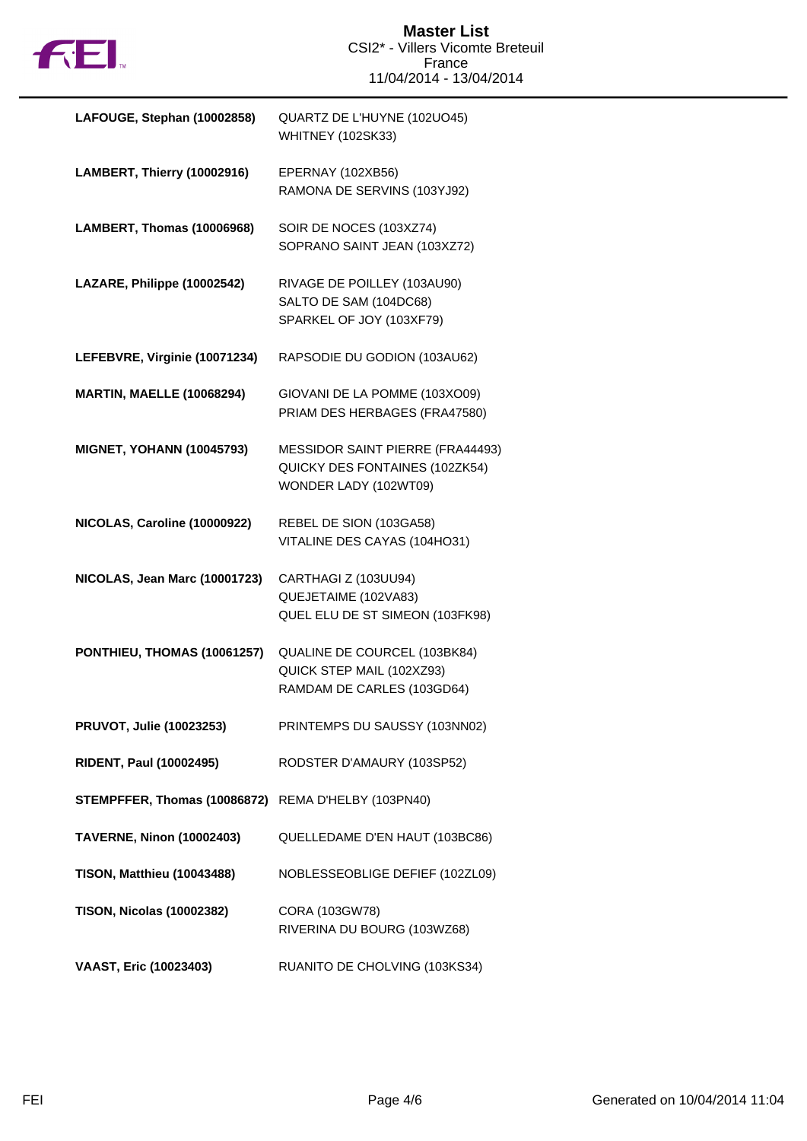

| LAFOUGE, Stephan (10002858)       | QUARTZ DE L'HUYNE (102UO45)<br><b>WHITNEY (102SK33)</b>                                     |  |
|-----------------------------------|---------------------------------------------------------------------------------------------|--|
| LAMBERT, Thierry (10002916)       | EPERNAY (102XB56)<br>RAMONA DE SERVINS (103YJ92)                                            |  |
| LAMBERT, Thomas (10006968)        | SOIR DE NOCES (103XZ74)<br>SOPRANO SAINT JEAN (103XZ72)                                     |  |
| LAZARE, Philippe (10002542)       | RIVAGE DE POILLEY (103AU90)<br>SALTO DE SAM (104DC68)<br>SPARKEL OF JOY (103XF79)           |  |
| LEFEBVRE, Virginie (10071234)     | RAPSODIE DU GODION (103AU62)                                                                |  |
| <b>MARTIN, MAELLE (10068294)</b>  | GIOVANI DE LA POMME (103XO09)<br>PRIAM DES HERBAGES (FRA47580)                              |  |
| <b>MIGNET, YOHANN (10045793)</b>  | MESSIDOR SAINT PIERRE (FRA44493)<br>QUICKY DES FONTAINES (102ZK54)<br>WONDER LADY (102WT09) |  |
| NICOLAS, Caroline (10000922)      | REBEL DE SION (103GA58)<br>VITALINE DES CAYAS (104HO31)                                     |  |
| NICOLAS, Jean Marc (10001723)     | CARTHAGI Z (103UU94)<br>QUEJETAIME (102VA83)<br>QUEL ELU DE ST SIMEON (103FK98)             |  |
| PONTHIEU, THOMAS (10061257)       | QUALINE DE COURCEL (103BK84)<br>QUICK STEP MAIL (102XZ93)<br>RAMDAM DE CARLES (103GD64)     |  |
| PRUVOT, Julie (10023253)          | PRINTEMPS DU SAUSSY (103NN02)                                                               |  |
| <b>RIDENT, Paul (10002495)</b>    | RODSTER D'AMAURY (103SP52)                                                                  |  |
| STEMPFFER, Thomas (10086872)      | REMA D'HELBY (103PN40)                                                                      |  |
| <b>TAVERNE, Ninon (10002403)</b>  | QUELLEDAME D'EN HAUT (103BC86)                                                              |  |
| <b>TISON, Matthieu (10043488)</b> | NOBLESSEOBLIGE DEFIEF (102ZL09)                                                             |  |
| <b>TISON, Nicolas (10002382)</b>  | CORA (103GW78)<br>RIVERINA DU BOURG (103WZ68)                                               |  |
| VAAST, Eric (10023403)            | RUANITO DE CHOLVING (103KS34)                                                               |  |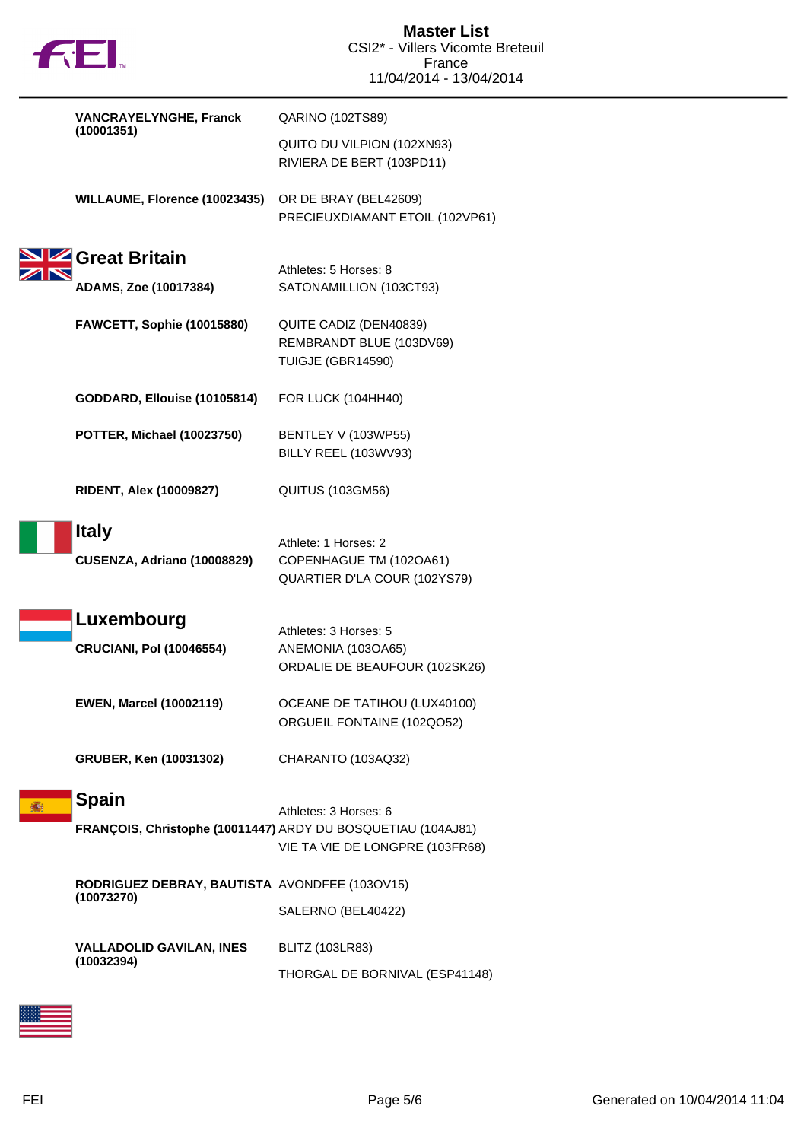

| <b>VANCRAYELYNGHE, Franck</b>                                                | QARINO (102TS89)                                                                |
|------------------------------------------------------------------------------|---------------------------------------------------------------------------------|
| (10001351)                                                                   | QUITO DU VILPION (102XN93)<br>RIVIERA DE BERT (103PD11)                         |
| WILLAUME, Florence (10023435)                                                | OR DE BRAY (BEL42609)<br>PRECIEUXDIAMANT ETOIL (102VP61)                        |
| Great Britain<br>ADAMS, Zoe (10017384)                                       | Athletes: 5 Horses: 8<br>SATONAMILLION (103CT93)                                |
| FAWCETT, Sophie (10015880)                                                   | QUITE CADIZ (DEN40839)<br>REMBRANDT BLUE (103DV69)<br>TUIGJE (GBR14590)         |
| GODDARD, Ellouise (10105814)                                                 | <b>FOR LUCK (104HH40)</b>                                                       |
| POTTER, Michael (10023750)                                                   | BENTLEY V (103WP55)<br>BILLY REEL (103WV93)                                     |
| <b>RIDENT, Alex (10009827)</b>                                               | <b>QUITUS (103GM56)</b>                                                         |
| <b>Italy</b><br>CUSENZA, Adriano (10008829)                                  | Athlete: 1 Horses: 2<br>COPENHAGUE TM (102OA61)<br>QUARTIER D'LA COUR (102YS79) |
| Luxembourg<br><b>CRUCIANI, Pol (10046554)</b>                                | Athletes: 3 Horses: 5<br>ANEMONIA (103OA65)<br>ORDALIE DE BEAUFOUR (102SK26)    |
| <b>EWEN, Marcel (10002119)</b>                                               | OCEANE DE TATIHOU (LUX40100)<br>ORGUEIL FONTAINE (102QO52)                      |
| GRUBER, Ken (10031302)                                                       | CHARANTO (103AQ32)                                                              |
| <b>Spain</b><br>FRANÇOIS, Christophe (10011447) ARDY DU BOSQUETIAU (104AJ81) | Athletes: 3 Horses: 6<br>VIE TA VIE DE LONGPRE (103FR68)                        |
| RODRIGUEZ DEBRAY, BAUTISTA AVONDFEE (103OV15)<br>(10073270)                  | SALERNO (BEL40422)                                                              |
| <b>VALLADOLID GAVILAN, INES</b><br>(10032394)                                | BLITZ (103LR83)<br>THORGAL DE BORNIVAL (ESP41148)                               |